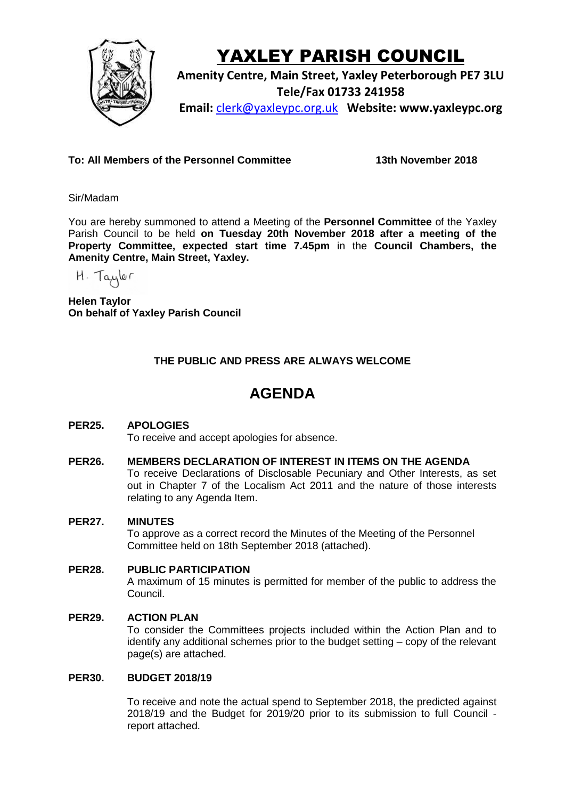

# YAXLEY PARISH COUNCIL

**Amenity Centre, Main Street, Yaxley Peterborough PE7 3LU Tele/Fax 01733 241958 Email:** [clerk@yaxleypc.org.uk](mailto:clerk@yaxleypc.org.uk) **Website: www.yaxleypc.org**

**To: All Members of the Personnel Committee 13th November 2018**

Sir/Madam

You are hereby summoned to attend a Meeting of the **Personnel Committee** of the Yaxley Parish Council to be held **on Tuesday 20th November 2018 after a meeting of the Property Committee, expected start time 7.45pm** in the **Council Chambers, the Amenity Centre, Main Street, Yaxley.**

H. Taylor

**Helen Taylor On behalf of Yaxley Parish Council**

## **THE PUBLIC AND PRESS ARE ALWAYS WELCOME**

## **AGENDA**

### **PER25. APOLOGIES**

To receive and accept apologies for absence.

#### **PER26. MEMBERS DECLARATION OF INTEREST IN ITEMS ON THE AGENDA**

To receive Declarations of Disclosable Pecuniary and Other Interests, as set out in Chapter 7 of the Localism Act 2011 and the nature of those interests relating to any Agenda Item.

#### **PER27. MINUTES**

To approve as a correct record the Minutes of the Meeting of the Personnel Committee held on 18th September 2018 (attached).

#### **PER28. PUBLIC PARTICIPATION**

A maximum of 15 minutes is permitted for member of the public to address the Council.

#### **PER29. ACTION PLAN**

To consider the Committees projects included within the Action Plan and to identify any additional schemes prior to the budget setting – copy of the relevant page(s) are attached.

#### **PER30. BUDGET 2018/19**

To receive and note the actual spend to September 2018, the predicted against 2018/19 and the Budget for 2019/20 prior to its submission to full Council report attached.